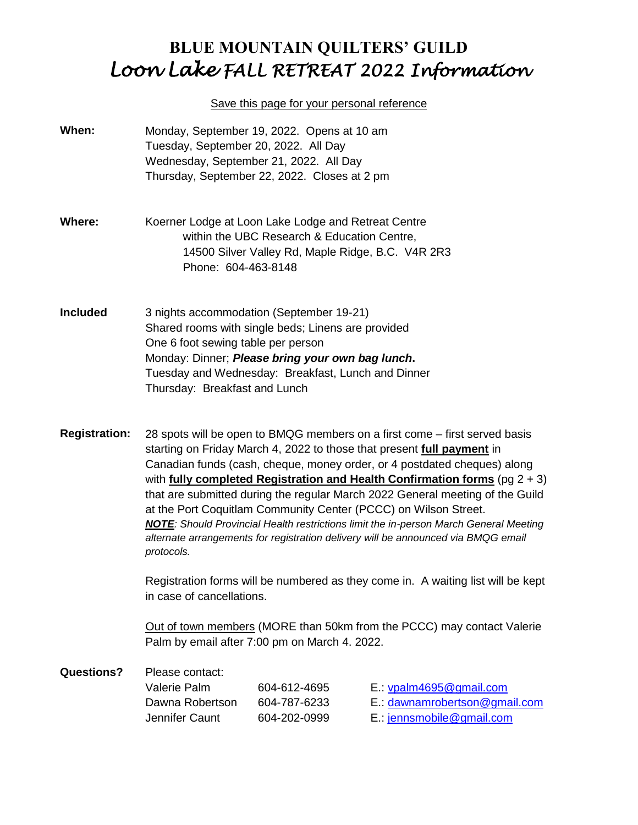## **BLUE MOUNTAIN QUILTERS' GUILD** *Loon Lake FALL RETREAT 2022 Information*

#### Save this page for your personal reference

- **When:** Monday, September 19, 2022. Opens at 10 am Tuesday, September 20, 2022. All Day Wednesday, September 21, 2022. All Day Thursday, September 22, 2022. Closes at 2 pm
- **Where:** Koerner Lodge at Loon Lake Lodge and Retreat Centre within the UBC Research & Education Centre, 14500 Silver Valley Rd, Maple Ridge, B.C. V4R 2R3 Phone: 604-463-8148
- **Included** 3 nights accommodation (September 19-21) Shared rooms with single beds; Linens are provided One 6 foot sewing table per person Monday: Dinner; *Please bring your own bag lunch***.** Tuesday and Wednesday: Breakfast, Lunch and Dinner Thursday: Breakfast and Lunch
- **Registration:** 28 spots will be open to BMQG members on a first come first served basis starting on Friday March 4, 2022 to those that present **full payment** in Canadian funds (cash, cheque, money order, or 4 postdated cheques) along with **fully completed Registration and Health Confirmation forms** (pg 2 + 3) that are submitted during the regular March 2022 General meeting of the Guild at the Port Coquitlam Community Center (PCCC) on Wilson Street. *NOTE: Should Provincial Health restrictions limit the in-person March General Meeting alternate arrangements for registration delivery will be announced via BMQG email protocols.*

Registration forms will be numbered as they come in. A waiting list will be kept in case of cancellations.

Out of town members (MORE than 50km from the PCCC) may contact Valerie Palm by email after 7:00 pm on March 4. 2022.

| <b>Questions?</b> | Please contact: |              |                               |  |
|-------------------|-----------------|--------------|-------------------------------|--|
|                   | Valerie Palm    | 604-612-4695 | $E$ .: $v$ palm4695@gmail.com |  |
|                   | Dawna Robertson | 604-787-6233 | E.: dawnamrobertson@gmail.com |  |
|                   | Jennifer Caunt  | 604-202-0999 | $E$ .: jennsmobile@gmail.com  |  |
|                   |                 |              |                               |  |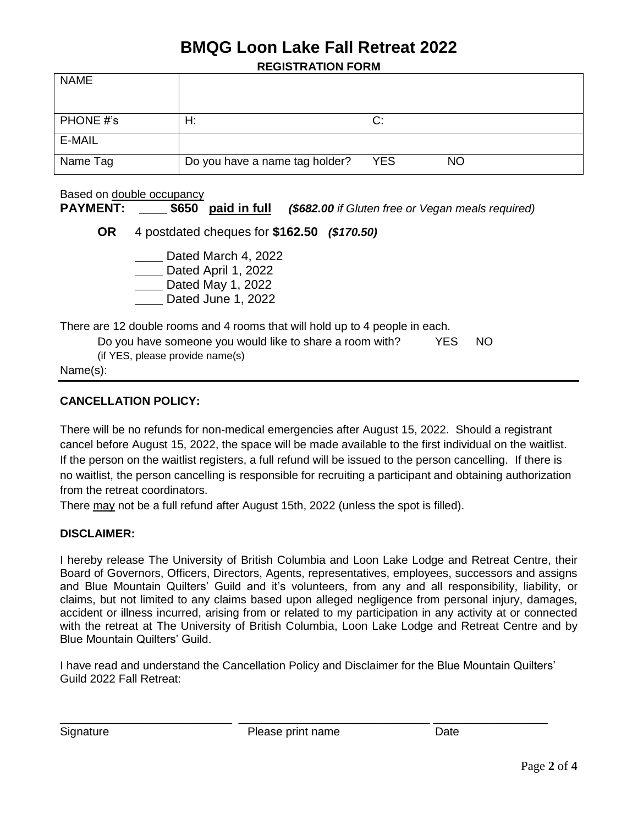# **BMQG Loon Lake Fall Retreat 2022**

**REGISTRATION FORM**

| <b>NAME</b> |                                |            |           |
|-------------|--------------------------------|------------|-----------|
| PHONE #'s   | H:                             | C:         |           |
| E-MAIL      |                                |            |           |
| Name Tag    | Do you have a name tag holder? | <b>YES</b> | <b>NO</b> |

Based on double occupancy **PAYMENT: \_\_\_\_ \$650 paid in full** *(\$682.00 if Gluten free or Vegan meals required)* **OR** 4 postdated cheques for **\$162.50** *(\$170.50)* **\_\_\_\_** Dated March 4, 2022 **\_\_\_\_** Dated April 1, 2022 **\_\_\_\_** Dated May 1, 2022 **\_\_\_\_** Dated June 1, 2022

There are 12 double rooms and 4 rooms that will hold up to 4 people in each.

Do you have someone you would like to share a room with? YES NO (if YES, please provide name(s)

Name(s):

#### **CANCELLATION POLICY:**

There will be no refunds for non-medical emergencies after August 15, 2022. Should a registrant cancel before August 15, 2022, the space will be made available to the first individual on the waitlist. If the person on the waitlist registers, a full refund will be issued to the person cancelling. If there is no waitlist, the person cancelling is responsible for recruiting a participant and obtaining authorization from the retreat coordinators.

There may not be a full refund after August 15th, 2022 (unless the spot is filled).

#### **DISCLAIMER:**

I hereby release The University of British Columbia and Loon Lake Lodge and Retreat Centre, their Board of Governors, Officers, Directors, Agents, representatives, employees, successors and assigns and Blue Mountain Quilters' Guild and it's volunteers, from any and all responsibility, liability, or claims, but not limited to any claims based upon alleged negligence from personal injury, damages, accident or illness incurred, arising from or related to my participation in any activity at or connected with the retreat at The University of British Columbia, Loon Lake Lodge and Retreat Centre and by Blue Mountain Quilters' Guild.

I have read and understand the Cancellation Policy and Disclaimer for the Blue Mountain Quilters' Guild 2022 Fall Retreat:

\_\_\_\_\_\_\_\_\_\_\_\_\_\_\_\_\_\_\_\_\_\_\_\_\_\_\_ \_\_\_\_\_\_\_\_\_\_\_\_\_\_\_\_\_\_\_\_\_\_\_\_\_\_\_\_\_\_ \_\_\_\_\_\_\_\_\_\_\_\_\_\_\_\_\_\_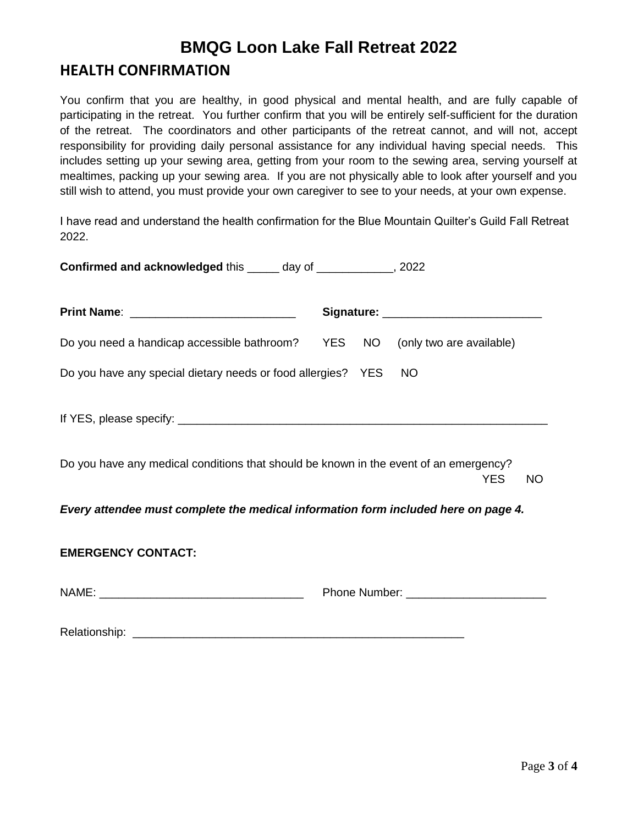## **BMQG Loon Lake Fall Retreat 2022**

### **HEALTH CONFIRMATION**

You confirm that you are healthy, in good physical and mental health, and are fully capable of participating in the retreat. You further confirm that you will be entirely self-sufficient for the duration of the retreat. The coordinators and other participants of the retreat cannot, and will not, accept responsibility for providing daily personal assistance for any individual having special needs. This includes setting up your sewing area, getting from your room to the sewing area, serving yourself at mealtimes, packing up your sewing area. If you are not physically able to look after yourself and you still wish to attend, you must provide your own caregiver to see to your needs, at your own expense.

I have read and understand the health confirmation for the Blue Mountain Quilter's Guild Fall Retreat 2022.

| Confirmed and acknowledged this _____ day of _____________, 2022                                                 |  |  |           |  |  |
|------------------------------------------------------------------------------------------------------------------|--|--|-----------|--|--|
|                                                                                                                  |  |  |           |  |  |
| Do you need a handicap accessible bathroom? YES NO (only two are available)                                      |  |  |           |  |  |
| Do you have any special dietary needs or food allergies? YES                                                     |  |  | <b>NO</b> |  |  |
|                                                                                                                  |  |  |           |  |  |
| Do you have any medical conditions that should be known in the event of an emergency?<br><b>YES</b><br><b>NO</b> |  |  |           |  |  |
| Every attendee must complete the medical information form included here on page 4.                               |  |  |           |  |  |
| <b>EMERGENCY CONTACT:</b>                                                                                        |  |  |           |  |  |
|                                                                                                                  |  |  |           |  |  |
| Relationship:                                                                                                    |  |  |           |  |  |